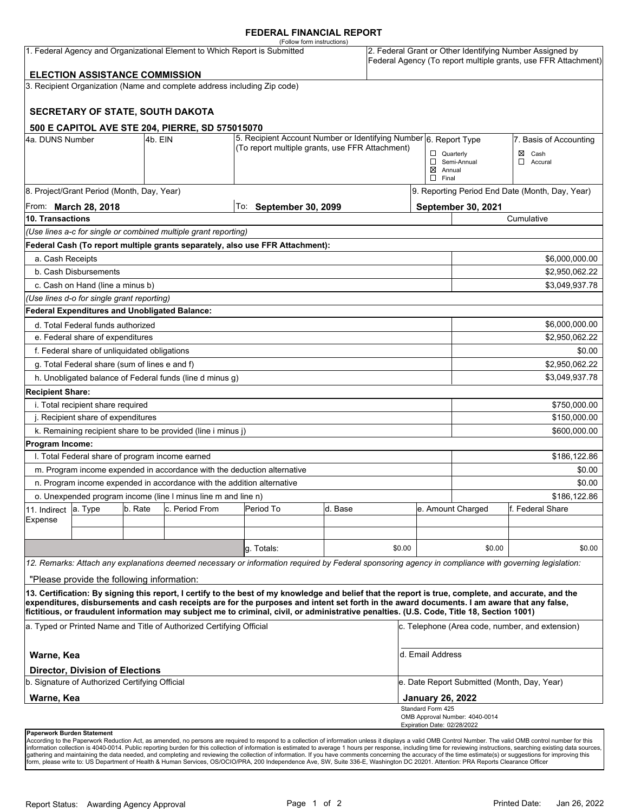#### **FEDERAL FINANCIAL REPORT**

|                                                                           |                                                                              |         |                                                                                                                     | (Follow form instructions)                                                                                                                                                                                                                                                              |         |        |                                                                                                                            |                                                 |                                                 |  |
|---------------------------------------------------------------------------|------------------------------------------------------------------------------|---------|---------------------------------------------------------------------------------------------------------------------|-----------------------------------------------------------------------------------------------------------------------------------------------------------------------------------------------------------------------------------------------------------------------------------------|---------|--------|----------------------------------------------------------------------------------------------------------------------------|-------------------------------------------------|-------------------------------------------------|--|
| 1. Federal Agency and Organizational Element to Which Report is Submitted |                                                                              |         |                                                                                                                     |                                                                                                                                                                                                                                                                                         |         |        | 2. Federal Grant or Other Identifying Number Assigned by<br>Federal Agency (To report multiple grants, use FFR Attachment) |                                                 |                                                 |  |
|                                                                           | <b>ELECTION ASSISTANCE COMMISSION</b>                                        |         |                                                                                                                     |                                                                                                                                                                                                                                                                                         |         |        |                                                                                                                            |                                                 |                                                 |  |
|                                                                           |                                                                              |         | 3. Recipient Organization (Name and complete address including Zip code)                                            |                                                                                                                                                                                                                                                                                         |         |        |                                                                                                                            |                                                 |                                                 |  |
|                                                                           |                                                                              |         | SECRETARY OF STATE, SOUTH DAKOTA                                                                                    |                                                                                                                                                                                                                                                                                         |         |        |                                                                                                                            |                                                 |                                                 |  |
|                                                                           |                                                                              |         | 500 E CAPITOL AVE STE 204, PIERRE, SD 575015070                                                                     |                                                                                                                                                                                                                                                                                         |         |        |                                                                                                                            |                                                 |                                                 |  |
| 4a. DUNS Number<br>4b. EIN                                                |                                                                              |         | 5. Recipient Account Number or Identifying Number 6. Report Type<br>(To report multiple grants, use FFR Attachment) |                                                                                                                                                                                                                                                                                         |         |        |                                                                                                                            | 7. Basis of Accounting                          |                                                 |  |
|                                                                           |                                                                              |         |                                                                                                                     |                                                                                                                                                                                                                                                                                         |         |        | $\Box$ Quarterly<br>$\boxtimes$ Annual<br>$\Box$ Final                                                                     | Semi-Annual                                     | $\boxtimes$ Cash<br>$\Box$ Accural              |  |
| 8. Project/Grant Period (Month, Day, Year)                                |                                                                              |         |                                                                                                                     |                                                                                                                                                                                                                                                                                         |         |        |                                                                                                                            | 9. Reporting Period End Date (Month, Day, Year) |                                                 |  |
| From: <b>March 28, 2018</b>                                               |                                                                              |         |                                                                                                                     | To: September 30, 2099                                                                                                                                                                                                                                                                  |         |        |                                                                                                                            | <b>September 30, 2021</b>                       |                                                 |  |
| 10. Transactions                                                          |                                                                              |         |                                                                                                                     |                                                                                                                                                                                                                                                                                         |         |        |                                                                                                                            | Cumulative                                      |                                                 |  |
|                                                                           |                                                                              |         | (Use lines a-c for single or combined multiple grant reporting)                                                     |                                                                                                                                                                                                                                                                                         |         |        |                                                                                                                            |                                                 |                                                 |  |
|                                                                           |                                                                              |         |                                                                                                                     | Federal Cash (To report multiple grants separately, also use FFR Attachment):                                                                                                                                                                                                           |         |        |                                                                                                                            |                                                 |                                                 |  |
| a. Cash Receipts                                                          |                                                                              |         |                                                                                                                     |                                                                                                                                                                                                                                                                                         |         |        |                                                                                                                            |                                                 | \$6,000,000.00                                  |  |
|                                                                           | b. Cash Disbursements                                                        |         |                                                                                                                     |                                                                                                                                                                                                                                                                                         |         |        |                                                                                                                            | \$2,950,062.22                                  |                                                 |  |
|                                                                           | c. Cash on Hand (line a minus b)<br>\$3,049,937.78                           |         |                                                                                                                     |                                                                                                                                                                                                                                                                                         |         |        |                                                                                                                            |                                                 |                                                 |  |
| (Use lines d-o for single grant reporting)                                |                                                                              |         |                                                                                                                     |                                                                                                                                                                                                                                                                                         |         |        |                                                                                                                            |                                                 |                                                 |  |
|                                                                           | <b>Federal Expenditures and Unobligated Balance:</b>                         |         |                                                                                                                     |                                                                                                                                                                                                                                                                                         |         |        |                                                                                                                            |                                                 |                                                 |  |
|                                                                           | d. Total Federal funds authorized                                            |         |                                                                                                                     |                                                                                                                                                                                                                                                                                         |         |        |                                                                                                                            |                                                 | \$6,000,000.00                                  |  |
| e. Federal share of expenditures                                          |                                                                              |         |                                                                                                                     |                                                                                                                                                                                                                                                                                         |         |        |                                                                                                                            |                                                 | \$2,950,062.22                                  |  |
|                                                                           | f. Federal share of unliquidated obligations<br>\$0.00                       |         |                                                                                                                     |                                                                                                                                                                                                                                                                                         |         |        |                                                                                                                            |                                                 |                                                 |  |
|                                                                           | g. Total Federal share (sum of lines e and f)<br>\$2,950,062.22              |         |                                                                                                                     |                                                                                                                                                                                                                                                                                         |         |        |                                                                                                                            |                                                 |                                                 |  |
|                                                                           |                                                                              |         | h. Unobligated balance of Federal funds (line d minus g)                                                            |                                                                                                                                                                                                                                                                                         |         |        |                                                                                                                            |                                                 | \$3,049,937.78                                  |  |
| <b>Recipient Share:</b>                                                   |                                                                              |         |                                                                                                                     |                                                                                                                                                                                                                                                                                         |         |        |                                                                                                                            |                                                 |                                                 |  |
| i. Total recipient share required<br>\$750,000.00                         |                                                                              |         |                                                                                                                     |                                                                                                                                                                                                                                                                                         |         |        |                                                                                                                            |                                                 |                                                 |  |
| j. Recipient share of expenditures                                        |                                                                              |         |                                                                                                                     |                                                                                                                                                                                                                                                                                         |         |        |                                                                                                                            | \$150,000.00                                    |                                                 |  |
|                                                                           | k. Remaining recipient share to be provided (line i minus j)<br>\$600,000.00 |         |                                                                                                                     |                                                                                                                                                                                                                                                                                         |         |        |                                                                                                                            |                                                 |                                                 |  |
| Program Income:                                                           |                                                                              |         |                                                                                                                     |                                                                                                                                                                                                                                                                                         |         |        |                                                                                                                            |                                                 |                                                 |  |
|                                                                           | I. Total Federal share of program income earned                              |         |                                                                                                                     |                                                                                                                                                                                                                                                                                         |         |        |                                                                                                                            |                                                 | \$186,122.86                                    |  |
|                                                                           |                                                                              |         | m. Program income expended in accordance with the deduction alternative                                             |                                                                                                                                                                                                                                                                                         |         |        |                                                                                                                            |                                                 | \$0.00                                          |  |
|                                                                           |                                                                              |         | n. Program income expended in accordance with the addition alternative                                              |                                                                                                                                                                                                                                                                                         |         |        |                                                                                                                            |                                                 | \$0.00                                          |  |
| o. Unexpended program income (line I minus line m and line n)             |                                                                              |         |                                                                                                                     |                                                                                                                                                                                                                                                                                         |         |        |                                                                                                                            | \$186,122.86                                    |                                                 |  |
| 11. Indirect                                                              | a. Type                                                                      | b. Rate | c. Period From                                                                                                      | Period To                                                                                                                                                                                                                                                                               | d. Base |        |                                                                                                                            | e. Amount Charged                               | f. Federal Share                                |  |
| Expense                                                                   |                                                                              |         |                                                                                                                     |                                                                                                                                                                                                                                                                                         |         |        |                                                                                                                            |                                                 |                                                 |  |
|                                                                           |                                                                              |         |                                                                                                                     |                                                                                                                                                                                                                                                                                         |         |        |                                                                                                                            |                                                 |                                                 |  |
|                                                                           |                                                                              |         |                                                                                                                     | q. Totals:                                                                                                                                                                                                                                                                              |         | \$0.00 |                                                                                                                            | \$0.00                                          | \$0.00                                          |  |
|                                                                           |                                                                              |         |                                                                                                                     | 12. Remarks: Attach any explanations deemed necessary or information required by Federal sponsoring agency in compliance with governing legislation:                                                                                                                                    |         |        |                                                                                                                            |                                                 |                                                 |  |
|                                                                           | "Please provide the following information:                                   |         |                                                                                                                     |                                                                                                                                                                                                                                                                                         |         |        |                                                                                                                            |                                                 |                                                 |  |
|                                                                           |                                                                              |         |                                                                                                                     | 13. Certification: By signing this report, I certify to the best of my knowledge and belief that the report is true, complete, and accurate, and the                                                                                                                                    |         |        |                                                                                                                            |                                                 |                                                 |  |
|                                                                           |                                                                              |         |                                                                                                                     | expenditures, disbursements and cash receipts are for the purposes and intent set forth in the award documents. I am aware that any false,<br>fictitious, or fraudulent information may subject me to criminal, civil, or administrative penalties. (U.S. Code, Title 18, Section 1001) |         |        |                                                                                                                            |                                                 |                                                 |  |
|                                                                           |                                                                              |         | a. Typed or Printed Name and Title of Authorized Certifying Official                                                |                                                                                                                                                                                                                                                                                         |         |        |                                                                                                                            |                                                 | c. Telephone (Area code, number, and extension) |  |
|                                                                           |                                                                              |         |                                                                                                                     |                                                                                                                                                                                                                                                                                         |         |        |                                                                                                                            |                                                 |                                                 |  |
| Warne, Kea                                                                |                                                                              |         |                                                                                                                     |                                                                                                                                                                                                                                                                                         |         |        | d. Email Address                                                                                                           |                                                 |                                                 |  |
|                                                                           | <b>Director, Division of Elections</b>                                       |         |                                                                                                                     |                                                                                                                                                                                                                                                                                         |         |        |                                                                                                                            |                                                 |                                                 |  |
| b. Signature of Authorized Certifying Official                            |                                                                              |         |                                                                                                                     |                                                                                                                                                                                                                                                                                         |         |        | e. Date Report Submitted (Month, Day, Year)                                                                                |                                                 |                                                 |  |
| Warne, Kea                                                                |                                                                              |         |                                                                                                                     |                                                                                                                                                                                                                                                                                         |         |        |                                                                                                                            | <b>January 26, 2022</b>                         |                                                 |  |
|                                                                           |                                                                              |         |                                                                                                                     |                                                                                                                                                                                                                                                                                         |         |        | Standard Form 425<br>Expiration Date: 02/28/2022                                                                           | OMB Approval Number: 4040-0014                  |                                                 |  |
| Paperwork Burden Statement                                                |                                                                              |         |                                                                                                                     |                                                                                                                                                                                                                                                                                         |         |        |                                                                                                                            |                                                 |                                                 |  |

According to the Paperwork Reduction Act, as amended, no persons are required to respond to a collection of information unless it displays a valid OMB Control Number. The valid OMB control number for this<br>information colle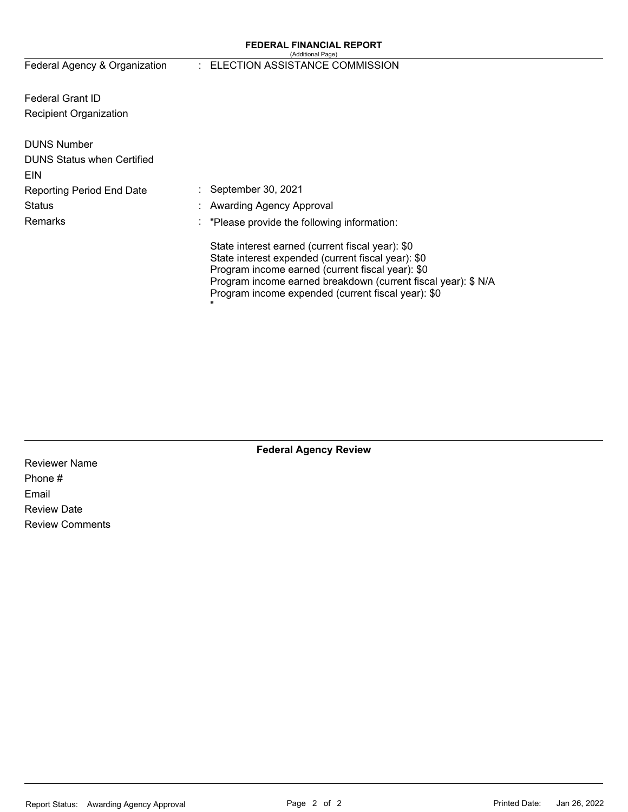#### **FEDERAL FINANCIAL REPORT**  (Additional Page)

# Federal Agency & Organization : ELECTION ASSISTANCE COMMISSION

Federal Grant ID Recipient Organization

| <b>DUNS Number</b><br><b>DUNS Status when Certified</b> |                                                                                                                                                                                                                                                                                        |
|---------------------------------------------------------|----------------------------------------------------------------------------------------------------------------------------------------------------------------------------------------------------------------------------------------------------------------------------------------|
| <b>EIN</b>                                              |                                                                                                                                                                                                                                                                                        |
| <b>Reporting Period End Date</b>                        | $\therefore$ September 30, 2021                                                                                                                                                                                                                                                        |
| <b>Status</b>                                           | : Awarding Agency Approval                                                                                                                                                                                                                                                             |
| <b>Remarks</b>                                          | $\therefore$ "Please provide the following information:                                                                                                                                                                                                                                |
|                                                         | State interest earned (current fiscal year): \$0<br>State interest expended (current fiscal year): \$0<br>Program income earned (current fiscal year): \$0<br>Program income earned breakdown (current fiscal year): \$ N/A<br>Program income expended (current fiscal year): \$0<br>π |

**Federal Agency Review** 

Reviewer Name Phone # Email Review Date Review Comments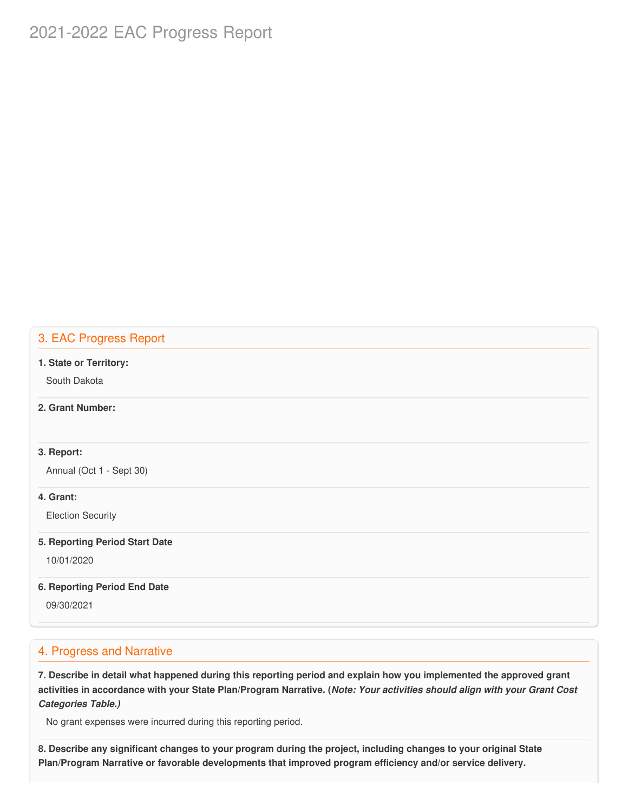# 2021-2022 EAC Progress Report

## 3. EAC Progress Report

#### **1. State or Territory:**

South Dakota

## **2. Grant Number:**

## **3. Report:**

Annual (Oct 1 - Sept 30)

## **4. Grant:**

Election Security

#### **5. Reporting Period Start Date**

10/01/2020

## **6. Reporting Period End Date**

09/30/2021

## 4. Progress and Narrative

7. Describe in detail what happened during this reporting period and explain how you implemented the approved grant activities in accordance with your State Plan/Program Narrative. (*Note: Your activities should align with your Grant Cost Categories Table.)*

No grant expenses were incurred during this reporting period.

8. Describe any significant changes to your program during the project, including changes to your original State  **Plan/Program Narrative or favorable developments that improved program efficiency and/or service delivery.**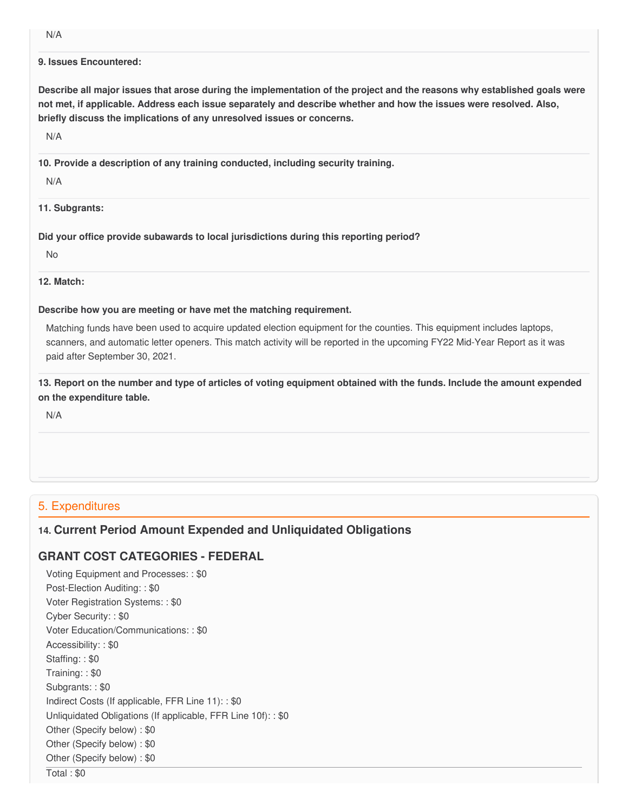N/A

#### **9. Issues Encountered:**

Describe all major issues that arose during the implementation of the project and the reasons why established goals were not met, if applicable. Address each issue separately and describe whether and how the issues were resolved. Also,  **briefly discuss the implications of any unresolved issues or concerns.**

N/A

 **10. Provide a description of any training conducted, including security training.**

N/A

**11. Subgrants:**

 **Did your office provide subawards to local jurisdictions during this reporting period?**

No

## **12. Match:**

## **Describe how you are meeting or have met the matching requirement.**

 Matching funds have been used to acquire updated election equipment for the counties. This equipment includes laptops, scanners, and automatic letter openers. This match activity will be reported in the upcoming FY22 Mid-Year Report as it was paid after September 30, 2021.

13. Report on the number and type of articles of voting equipment obtained with the funds. Include the amount expended  **on the expenditure table.**

N/A

# 5. Expenditures

# **14. Current Period Amount Expended and Unliquidated Obligations**

# **GRANT COST CATEGORIES - FEDERAL**

 Voting Equipment and Processes: : \$0 Post-Election Auditing: : \$0 Voter Registration Systems: : \$0 Cyber Security: : \$0 Voter Education/Communications: : \$0 Accessibility: : \$0 Staffing: : \$0 Training: : \$0 Subgrants: : \$0 Indirect Costs (If applicable, FFR Line 11): : \$0 Unliquidated Obligations (If applicable, FFR Line 10f): : \$0 Other (Specify below) : \$0 Other (Specify below) : \$0 Other (Specify below) : \$0 Total : \$0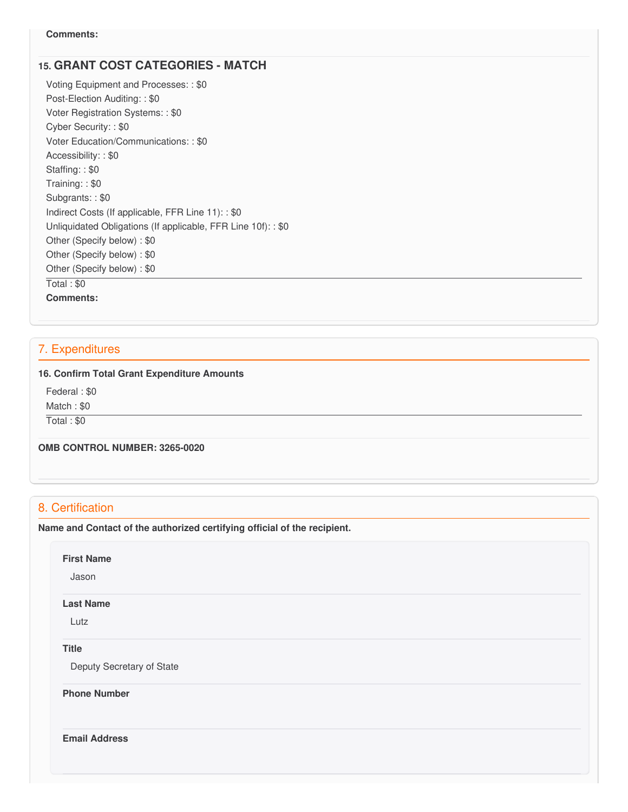# **15. GRANT COST CATEGORIES - MATCH**

 Voting Equipment and Processes: : \$0 Post-Election Auditing: : \$0 Voter Registration Systems: : \$0 Cyber Security: : \$0 Voter Education/Communications: : \$0 Accessibility: : \$0 Staffing: : \$0 Training: : \$0 Subgrants: : \$0 Indirect Costs (If applicable, FFR Line 11): : \$0 Unliquidated Obligations (If applicable, FFR Line 10f): : \$0 Other (Specify below) : \$0 Other (Specify below) : \$0 Other (Specify below) : \$0 Total : \$0 **Comments:**

# 7. Expenditures

#### **16. Confirm Total Grant Expenditure Amounts**

 Federal : \$0 Match : \$0

Total : \$0

 **OMB CONTROL NUMBER: 3265-0020**

## 8. Certification

 **Name and Contact of the authorized certifying official of the recipient.**

#### **First Name**

Jason

#### **Last Name**

Lutz

## **Title**

Deputy Secretary of State

**Phone Number** 

**Email Address**